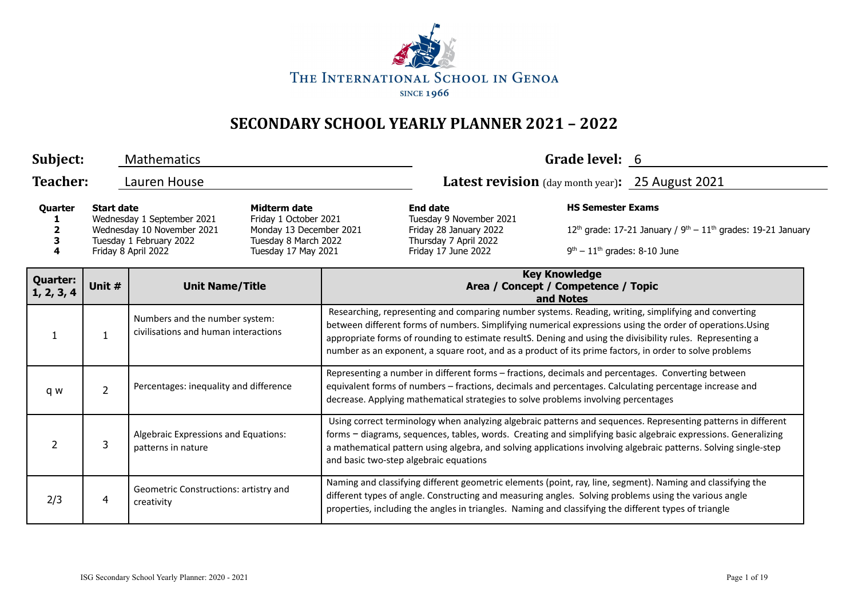

| Subject:                                     |                | <b>Mathematics</b>                                                                                                                                                                                                                                 |  |                                                                                                                                                                                                                                                                                                                                                                                                                                             |                                                                                                                                                                                                                                                                                                                                                                                               | Grade level: 6                                             |                                                                            |  |  |
|----------------------------------------------|----------------|----------------------------------------------------------------------------------------------------------------------------------------------------------------------------------------------------------------------------------------------------|--|---------------------------------------------------------------------------------------------------------------------------------------------------------------------------------------------------------------------------------------------------------------------------------------------------------------------------------------------------------------------------------------------------------------------------------------------|-----------------------------------------------------------------------------------------------------------------------------------------------------------------------------------------------------------------------------------------------------------------------------------------------------------------------------------------------------------------------------------------------|------------------------------------------------------------|----------------------------------------------------------------------------|--|--|
| <b>Teacher:</b>                              |                | Lauren House                                                                                                                                                                                                                                       |  |                                                                                                                                                                                                                                                                                                                                                                                                                                             | <b>Latest revision</b> (day month year): 25 August 2021                                                                                                                                                                                                                                                                                                                                       |                                                            |                                                                            |  |  |
| Quarter<br>$\overline{\mathbf{2}}$<br>3<br>4 |                | <b>Start date</b><br>Midterm date<br>Friday 1 October 2021<br>Wednesday 1 September 2021<br>Wednesday 10 November 2021<br>Monday 13 December 2021<br>Tuesday 8 March 2022<br>Tuesday 1 February 2022<br>Tuesday 17 May 2021<br>Friday 8 April 2022 |  |                                                                                                                                                                                                                                                                                                                                                                                                                                             | <b>End date</b><br>Tuesday 9 November 2021<br>Friday 28 January 2022<br>Thursday 7 April 2022<br>Friday 17 June 2022                                                                                                                                                                                                                                                                          | <b>HS Semester Exams</b><br>$9th - 11th$ grades: 8-10 June | 12 <sup>th</sup> grade: 17-21 January / $9th - 11th$ grades: 19-21 January |  |  |
| <b>Quarter:</b><br>1, 2, 3, 4                | Unit #         | <b>Unit Name/Title</b>                                                                                                                                                                                                                             |  |                                                                                                                                                                                                                                                                                                                                                                                                                                             | <b>Key Knowledge</b><br>Area / Concept / Competence / Topic<br>and Notes                                                                                                                                                                                                                                                                                                                      |                                                            |                                                                            |  |  |
| $\mathbf{1}$                                 | 1              | Numbers and the number system:<br>civilisations and human interactions                                                                                                                                                                             |  | Researching, representing and comparing number systems. Reading, writing, simplifying and converting<br>between different forms of numbers. Simplifying numerical expressions using the order of operations. Using<br>appropriate forms of rounding to estimate resultS. Dening and using the divisibility rules. Representing a<br>number as an exponent, a square root, and as a product of its prime factors, in order to solve problems |                                                                                                                                                                                                                                                                                                                                                                                               |                                                            |                                                                            |  |  |
| q w                                          | $\overline{2}$ | Percentages: inequality and difference                                                                                                                                                                                                             |  | Representing a number in different forms - fractions, decimals and percentages. Converting between<br>equivalent forms of numbers - fractions, decimals and percentages. Calculating percentage increase and<br>decrease. Applying mathematical strategies to solve problems involving percentages                                                                                                                                          |                                                                                                                                                                                                                                                                                                                                                                                               |                                                            |                                                                            |  |  |
| $\overline{2}$                               | 3              | Algebraic Expressions and Equations:<br>patterns in nature                                                                                                                                                                                         |  |                                                                                                                                                                                                                                                                                                                                                                                                                                             | Using correct terminology when analyzing algebraic patterns and sequences. Representing patterns in different<br>forms - diagrams, sequences, tables, words. Creating and simplifying basic algebraic expressions. Generalizing<br>a mathematical pattern using algebra, and solving applications involving algebraic patterns. Solving single-step<br>and basic two-step algebraic equations |                                                            |                                                                            |  |  |
| 2/3                                          | 4              | Geometric Constructions: artistry and<br>creativity                                                                                                                                                                                                |  |                                                                                                                                                                                                                                                                                                                                                                                                                                             | Naming and classifying different geometric elements (point, ray, line, segment). Naming and classifying the<br>different types of angle. Constructing and measuring angles. Solving problems using the various angle<br>properties, including the angles in triangles. Naming and classifying the different types of triangle                                                                 |                                                            |                                                                            |  |  |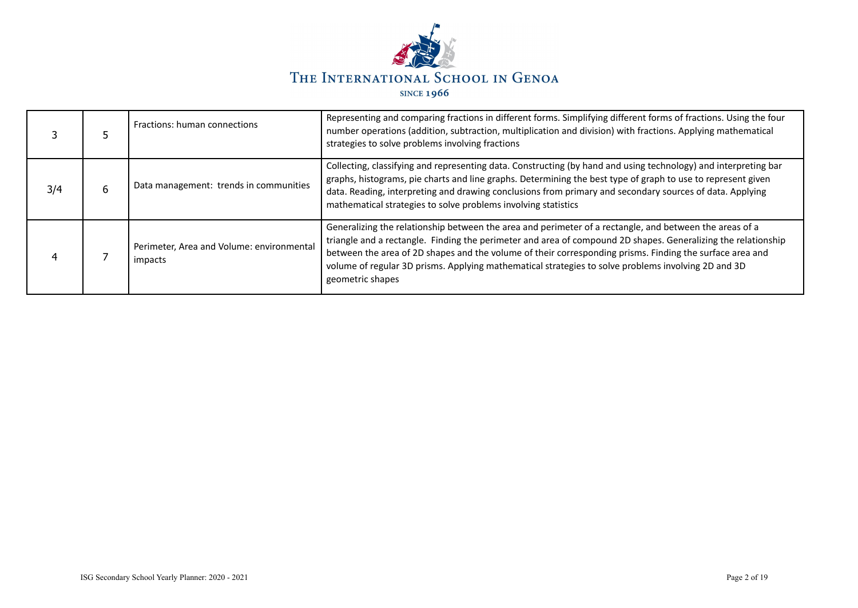

|     |              | Fractions: human connections                         | Representing and comparing fractions in different forms. Simplifying different forms of fractions. Using the four<br>number operations (addition, subtraction, multiplication and division) with fractions. Applying mathematical<br>strategies to solve problems involving fractions                                                                                                                                                                           |
|-----|--------------|------------------------------------------------------|-----------------------------------------------------------------------------------------------------------------------------------------------------------------------------------------------------------------------------------------------------------------------------------------------------------------------------------------------------------------------------------------------------------------------------------------------------------------|
| 3/4 | <sub>b</sub> | Data management: trends in communities               | Collecting, classifying and representing data. Constructing (by hand and using technology) and interpreting bar<br>graphs, histograms, pie charts and line graphs. Determining the best type of graph to use to represent given<br>data. Reading, interpreting and drawing conclusions from primary and secondary sources of data. Applying<br>mathematical strategies to solve problems involving statistics                                                   |
|     |              | Perimeter, Area and Volume: environmental<br>impacts | Generalizing the relationship between the area and perimeter of a rectangle, and between the areas of a<br>triangle and a rectangle. Finding the perimeter and area of compound 2D shapes. Generalizing the relationship<br>between the area of 2D shapes and the volume of their corresponding prisms. Finding the surface area and<br>volume of regular 3D prisms. Applying mathematical strategies to solve problems involving 2D and 3D<br>geometric shapes |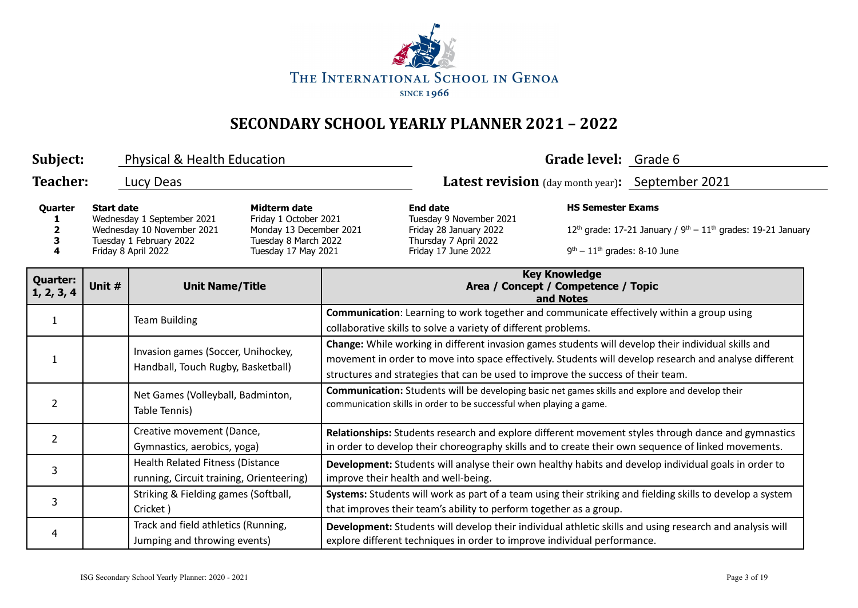

| Subject:                                                                                                                                                                                                                                                                                |        | Physical & Health Education                                                  |                                                                                                                      |                                                                                                                                                                                                                                                                                                   |                                                                          | Grade level: Grade 6 |  |
|-----------------------------------------------------------------------------------------------------------------------------------------------------------------------------------------------------------------------------------------------------------------------------------------|--------|------------------------------------------------------------------------------|----------------------------------------------------------------------------------------------------------------------|---------------------------------------------------------------------------------------------------------------------------------------------------------------------------------------------------------------------------------------------------------------------------------------------------|--------------------------------------------------------------------------|----------------------|--|
| <b>Teacher:</b>                                                                                                                                                                                                                                                                         |        | Lucy Deas                                                                    |                                                                                                                      |                                                                                                                                                                                                                                                                                                   | Latest revision (day month year): September 2021                         |                      |  |
| <b>Start date</b><br>Midterm date<br>Quarter<br>Wednesday 1 September 2021<br>Friday 1 October 2021<br>Wednesday 10 November 2021<br>Monday 13 December 2021<br>$\mathbf{2}$<br>Tuesday 1 February 2022<br>Tuesday 8 March 2022<br>3<br>Tuesday 17 May 2021<br>4<br>Friday 8 April 2022 |        |                                                                              | <b>End date</b><br>Tuesday 9 November 2021<br>Friday 28 January 2022<br>Thursday 7 April 2022<br>Friday 17 June 2022 | <b>HS Semester Exams</b><br>$9th - 11th$ grades: 8-10 June                                                                                                                                                                                                                                        | $12th$ grade: 17-21 January / $9th - 11th$ grades: 19-21 January         |                      |  |
| <b>Quarter:</b><br>1, 2, 3, 4                                                                                                                                                                                                                                                           | Unit # | <b>Unit Name/Title</b>                                                       |                                                                                                                      |                                                                                                                                                                                                                                                                                                   | <b>Key Knowledge</b><br>Area / Concept / Competence / Topic<br>and Notes |                      |  |
| $\mathbf{1}$                                                                                                                                                                                                                                                                            |        | <b>Team Building</b>                                                         |                                                                                                                      | Communication: Learning to work together and communicate effectively within a group using<br>collaborative skills to solve a variety of different problems.                                                                                                                                       |                                                                          |                      |  |
| 1                                                                                                                                                                                                                                                                                       |        | Invasion games (Soccer, Unihockey,<br>Handball, Touch Rugby, Basketball)     |                                                                                                                      | Change: While working in different invasion games students will develop their individual skills and<br>movement in order to move into space effectively. Students will develop research and analyse different<br>structures and strategies that can be used to improve the success of their team. |                                                                          |                      |  |
| $\overline{2}$                                                                                                                                                                                                                                                                          |        | Net Games (Volleyball, Badminton,<br>Table Tennis)                           |                                                                                                                      | <b>Communication:</b> Students will be developing basic net games skills and explore and develop their<br>communication skills in order to be successful when playing a game.                                                                                                                     |                                                                          |                      |  |
| $\overline{2}$                                                                                                                                                                                                                                                                          |        | Creative movement (Dance,<br>Gymnastics, aerobics, yoga)                     |                                                                                                                      | Relationships: Students research and explore different movement styles through dance and gymnastics<br>in order to develop their choreography skills and to create their own sequence of linked movements.                                                                                        |                                                                          |                      |  |
| 3                                                                                                                                                                                                                                                                                       |        | Health Related Fitness (Distance<br>running, Circuit training, Orienteering) |                                                                                                                      | Development: Students will analyse their own healthy habits and develop individual goals in order to<br>improve their health and well-being.                                                                                                                                                      |                                                                          |                      |  |
| 3                                                                                                                                                                                                                                                                                       |        | Striking & Fielding games (Softball,<br>Cricket)                             |                                                                                                                      | Systems: Students will work as part of a team using their striking and fielding skills to develop a system<br>that improves their team's ability to perform together as a group.                                                                                                                  |                                                                          |                      |  |
| 4                                                                                                                                                                                                                                                                                       |        | Track and field athletics (Running,<br>Jumping and throwing events)          |                                                                                                                      | Development: Students will develop their individual athletic skills and using research and analysis will<br>explore different techniques in order to improve individual performance.                                                                                                              |                                                                          |                      |  |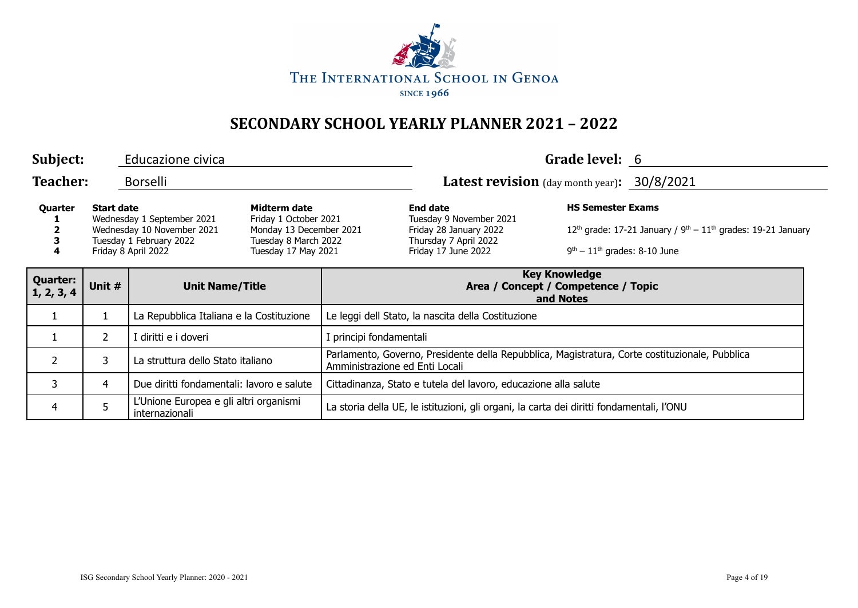

| Subject:                      |                                                               | Educazione civica                                                                                                                                                                                                                                  |  |                                                                                                                                  |                                                                                                                      | Grade level: 6                                             |                                                                                  |  |
|-------------------------------|---------------------------------------------------------------|----------------------------------------------------------------------------------------------------------------------------------------------------------------------------------------------------------------------------------------------------|--|----------------------------------------------------------------------------------------------------------------------------------|----------------------------------------------------------------------------------------------------------------------|------------------------------------------------------------|----------------------------------------------------------------------------------|--|
| <b>Teacher:</b>               |                                                               | <b>Borselli</b>                                                                                                                                                                                                                                    |  |                                                                                                                                  | <b>Latest revision</b> (day month year): $30/8/2021$                                                                 |                                                            |                                                                                  |  |
| Quarter<br>4                  |                                                               | Midterm date<br><b>Start date</b><br>Wednesday 1 September 2021<br>Friday 1 October 2021<br>Monday 13 December 2021<br>Wednesday 10 November 2021<br>Tuesday 1 February 2022<br>Tuesday 8 March 2022<br>Friday 8 April 2022<br>Tuesday 17 May 2021 |  |                                                                                                                                  | <b>End date</b><br>Tuesday 9 November 2021<br>Friday 28 January 2022<br>Thursday 7 April 2022<br>Friday 17 June 2022 | <b>HS Semester Exams</b><br>$9th - 11th$ grades: 8-10 June | 12 <sup>th</sup> grade: 17-21 January / $9^{th} - 11^{th}$ grades: 19-21 January |  |
| <b>Quarter:</b><br>1, 2, 3, 4 | Unit #                                                        | <b>Unit Name/Title</b>                                                                                                                                                                                                                             |  | <b>Key Knowledge</b><br>Area / Concept / Competence / Topic<br>and Notes                                                         |                                                                                                                      |                                                            |                                                                                  |  |
|                               |                                                               | La Repubblica Italiana e la Costituzione                                                                                                                                                                                                           |  | Le leggi dell Stato, la nascita della Costituzione                                                                               |                                                                                                                      |                                                            |                                                                                  |  |
|                               | $\mathbf{2}^{\prime}$                                         | I diritti e i doveri                                                                                                                                                                                                                               |  | I principi fondamentali                                                                                                          |                                                                                                                      |                                                            |                                                                                  |  |
| $\overline{2}$                | 3                                                             | La struttura dello Stato italiano                                                                                                                                                                                                                  |  | Parlamento, Governo, Presidente della Repubblica, Magistratura, Corte costituzionale, Pubblica<br>Amministrazione ed Enti Locali |                                                                                                                      |                                                            |                                                                                  |  |
| 3                             | 4                                                             | Due diritti fondamentali: lavoro e salute                                                                                                                                                                                                          |  | Cittadinanza, Stato e tutela del lavoro, educazione alla salute                                                                  |                                                                                                                      |                                                            |                                                                                  |  |
| 4                             | L'Unione Europea e gli altri organismi<br>5<br>internazionali |                                                                                                                                                                                                                                                    |  | La storia della UE, le istituzioni, gli organi, la carta dei diritti fondamentali, l'ONU                                         |                                                                                                                      |                                                            |                                                                                  |  |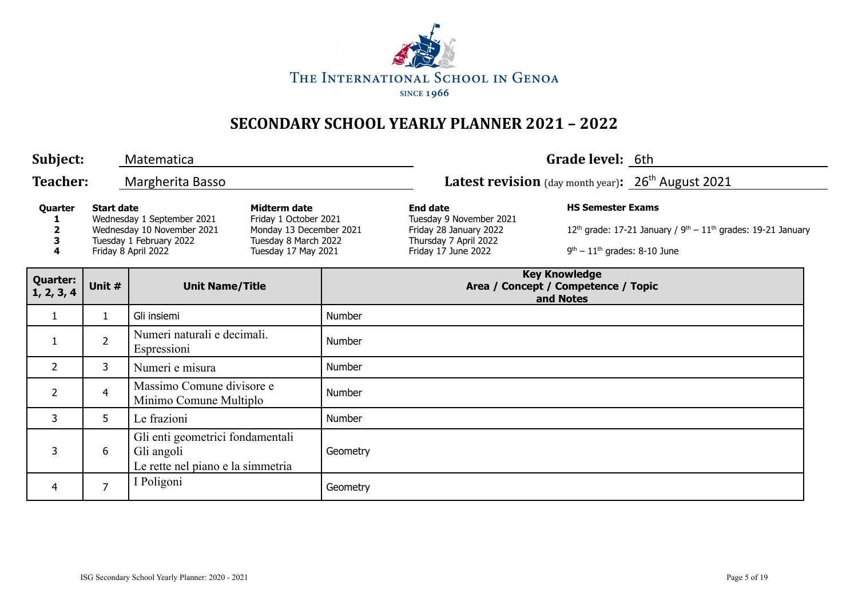

| Subject:                      |                   | Matematica                                                                                                                                                                                                                    | Grade level: 6th                                                                                                                                                                                                                                                       |  |  |  |  |
|-------------------------------|-------------------|-------------------------------------------------------------------------------------------------------------------------------------------------------------------------------------------------------------------------------|------------------------------------------------------------------------------------------------------------------------------------------------------------------------------------------------------------------------------------------------------------------------|--|--|--|--|
| <b>Teacher:</b>               |                   | Margherita Basso                                                                                                                                                                                                              | <b>Latest revision</b> (day month year): $26th$ August 2021                                                                                                                                                                                                            |  |  |  |  |
| Quarter<br>3<br>4             | <b>Start date</b> | Midterm date<br>Wednesday 1 September 2021<br>Friday 1 October 2021<br>Wednesday 10 November 2021<br>Monday 13 December 2021<br>Tuesday 1 February 2022<br>Tuesday 8 March 2022<br>Tuesday 17 May 2021<br>Friday 8 April 2022 | <b>HS Semester Exams</b><br><b>End date</b><br>Tuesday 9 November 2021<br>12 <sup>th</sup> grade: 17-21 January / $9^{th} - 11^{th}$ grades: 19-21 January<br>Friday 28 January 2022<br>Thursday 7 April 2022<br>$9th - 11th$ grades: 8-10 June<br>Friday 17 June 2022 |  |  |  |  |
| <b>Quarter:</b><br>1, 2, 3, 4 | Unit #            | <b>Unit Name/Title</b>                                                                                                                                                                                                        | <b>Key Knowledge</b><br>Area / Concept / Competence / Topic<br>and Notes                                                                                                                                                                                               |  |  |  |  |
| $\mathbf{1}$                  | $\mathbf{1}$      | Gli insiemi                                                                                                                                                                                                                   | Number                                                                                                                                                                                                                                                                 |  |  |  |  |
| $\mathbf{1}$                  | $\overline{2}$    | Numeri naturali e decimali.<br>Espressioni                                                                                                                                                                                    | Number                                                                                                                                                                                                                                                                 |  |  |  |  |
| $\overline{2}$                | 3                 | Numeri e misura                                                                                                                                                                                                               | Number                                                                                                                                                                                                                                                                 |  |  |  |  |
| $\overline{2}$                | $\overline{4}$    | Massimo Comune divisore e<br>Minimo Comune Multiplo                                                                                                                                                                           | Number                                                                                                                                                                                                                                                                 |  |  |  |  |
| 3                             | 5                 | Le frazioni                                                                                                                                                                                                                   | Number                                                                                                                                                                                                                                                                 |  |  |  |  |
| 3                             | 6                 | Gli enti geometrici fondamentali<br>Gli angoli<br>Le rette nel piano e la simmetria                                                                                                                                           | Geometry                                                                                                                                                                                                                                                               |  |  |  |  |
| 4                             | $\overline{7}$    | I Poligoni                                                                                                                                                                                                                    | Geometry                                                                                                                                                                                                                                                               |  |  |  |  |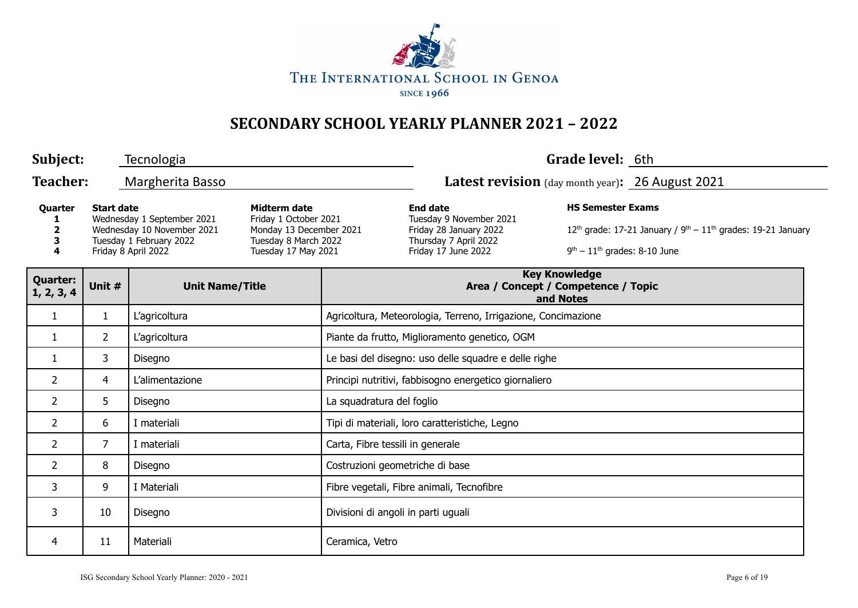

| Subject:                                               |                | Tecnologia                                                                                                                                                                                                                           |  |                                                               |                                                                                                                      | Grade level: 6th                                           |                                                                                  |  |
|--------------------------------------------------------|----------------|--------------------------------------------------------------------------------------------------------------------------------------------------------------------------------------------------------------------------------------|--|---------------------------------------------------------------|----------------------------------------------------------------------------------------------------------------------|------------------------------------------------------------|----------------------------------------------------------------------------------|--|
| <b>Teacher:</b>                                        |                | Margherita Basso                                                                                                                                                                                                                     |  |                                                               | Latest revision (day month year): 26 August 2021                                                                     |                                                            |                                                                                  |  |
| <b>Start date</b><br>Quarter<br>$\mathbf{2}$<br>З<br>4 |                | <b>Midterm date</b><br>Friday 1 October 2021<br>Wednesday 1 September 2021<br>Wednesday 10 November 2021<br>Monday 13 December 2021<br>Tuesday 1 February 2022<br>Tuesday 8 March 2022<br>Friday 8 April 2022<br>Tuesday 17 May 2021 |  |                                                               | <b>End date</b><br>Tuesday 9 November 2021<br>Friday 28 January 2022<br>Thursday 7 April 2022<br>Friday 17 June 2022 | <b>HS Semester Exams</b><br>$9th - 11th$ grades: 8-10 June | 12 <sup>th</sup> grade: 17-21 January / $9^{th} - 11^{th}$ grades: 19-21 January |  |
| <b>Quarter:</b><br>1, 2, 3, 4                          | Unit #         | <b>Unit Name/Title</b>                                                                                                                                                                                                               |  |                                                               | <b>Key Knowledge</b><br>Area / Concept / Competence / Topic<br>and Notes                                             |                                                            |                                                                                  |  |
| $\mathbf{1}$                                           | $\mathbf{1}$   | L'agricoltura                                                                                                                                                                                                                        |  | Agricoltura, Meteorologia, Terreno, Irrigazione, Concimazione |                                                                                                                      |                                                            |                                                                                  |  |
| $\mathbf{1}$                                           | $\overline{2}$ | L'agricoltura                                                                                                                                                                                                                        |  | Piante da frutto, Miglioramento genetico, OGM                 |                                                                                                                      |                                                            |                                                                                  |  |
| $\mathbf{1}$                                           | 3              | Disegno                                                                                                                                                                                                                              |  |                                                               | Le basi del disegno: uso delle squadre e delle righe                                                                 |                                                            |                                                                                  |  |
| 2                                                      | 4              | L'alimentazione                                                                                                                                                                                                                      |  | Principi nutritivi, fabbisogno energetico giornaliero         |                                                                                                                      |                                                            |                                                                                  |  |
| 2                                                      | 5              | Disegno                                                                                                                                                                                                                              |  | La squadratura del foglio                                     |                                                                                                                      |                                                            |                                                                                  |  |
| 2                                                      | 6              | I materiali                                                                                                                                                                                                                          |  | Tipi di materiali, loro caratteristiche, Legno                |                                                                                                                      |                                                            |                                                                                  |  |
| 2                                                      | 7              | I materiali                                                                                                                                                                                                                          |  | Carta, Fibre tessili in generale                              |                                                                                                                      |                                                            |                                                                                  |  |
| 2                                                      | 8              | Disegno                                                                                                                                                                                                                              |  | Costruzioni geometriche di base                               |                                                                                                                      |                                                            |                                                                                  |  |
| 3                                                      | 9              | I Materiali                                                                                                                                                                                                                          |  | Fibre vegetali, Fibre animali, Tecnofibre                     |                                                                                                                      |                                                            |                                                                                  |  |
| 3                                                      | 10             | Disegno                                                                                                                                                                                                                              |  | Divisioni di angoli in parti uguali                           |                                                                                                                      |                                                            |                                                                                  |  |
| 4                                                      | 11             | Materiali                                                                                                                                                                                                                            |  | Ceramica, Vetro                                               |                                                                                                                      |                                                            |                                                                                  |  |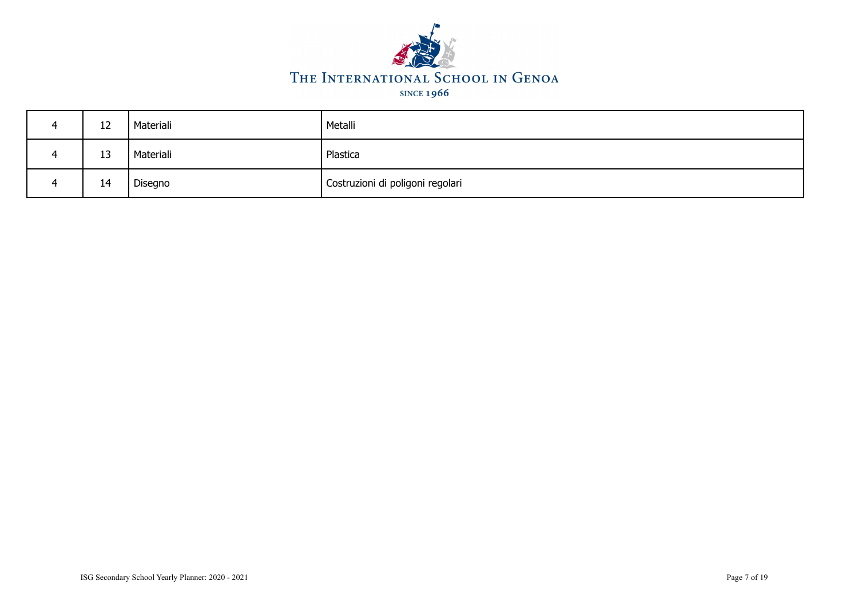

|   | 12 | Materiali | Metalli                          |
|---|----|-----------|----------------------------------|
| 4 | 13 | Materiali | Plastica                         |
|   | 14 | Disegno   | Costruzioni di poligoni regolari |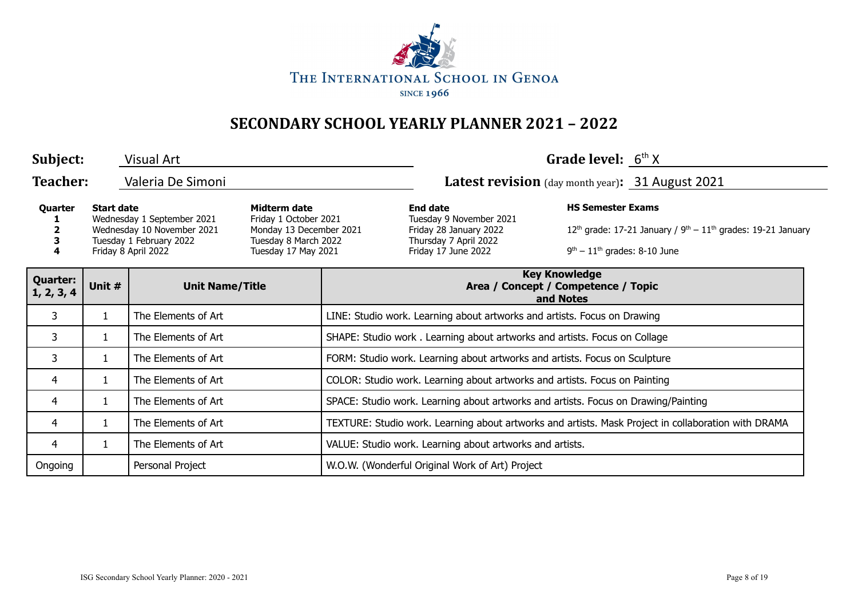

| Subject:                      |                   | Visual Art                                                                                                                                                                                                                    |  |                                                                                                     |                                                                                                                      | Grade level: $6^{th} X$                                                                                                                  |  |  |
|-------------------------------|-------------------|-------------------------------------------------------------------------------------------------------------------------------------------------------------------------------------------------------------------------------|--|-----------------------------------------------------------------------------------------------------|----------------------------------------------------------------------------------------------------------------------|------------------------------------------------------------------------------------------------------------------------------------------|--|--|
| <b>Teacher:</b>               |                   | Valeria De Simoni                                                                                                                                                                                                             |  |                                                                                                     | Latest revision (day month year): 31 August 2021                                                                     |                                                                                                                                          |  |  |
| Quarter<br>4                  | <b>Start date</b> | Midterm date<br>Friday 1 October 2021<br>Wednesday 1 September 2021<br>Wednesday 10 November 2021<br>Monday 13 December 2021<br>Tuesday 1 February 2022<br>Tuesday 8 March 2022<br>Friday 8 April 2022<br>Tuesday 17 May 2021 |  |                                                                                                     | <b>End date</b><br>Tuesday 9 November 2021<br>Friday 28 January 2022<br>Thursday 7 April 2022<br>Friday 17 June 2022 | <b>HS Semester Exams</b><br>12 <sup>th</sup> grade: 17-21 January / $9th - 11th$ grades: 19-21 January<br>$9th - 11th$ grades: 8-10 June |  |  |
| <b>Quarter:</b><br>1, 2, 3, 4 | Unit #            | <b>Unit Name/Title</b>                                                                                                                                                                                                        |  |                                                                                                     | <b>Key Knowledge</b><br>Area / Concept / Competence / Topic<br>and Notes                                             |                                                                                                                                          |  |  |
| 3                             | $\mathbf{1}$      | The Elements of Art                                                                                                                                                                                                           |  | LINE: Studio work. Learning about artworks and artists. Focus on Drawing                            |                                                                                                                      |                                                                                                                                          |  |  |
| 3                             |                   | The Elements of Art                                                                                                                                                                                                           |  | SHAPE: Studio work . Learning about artworks and artists. Focus on Collage                          |                                                                                                                      |                                                                                                                                          |  |  |
| 3                             | $\mathbf{1}$      | The Elements of Art                                                                                                                                                                                                           |  | FORM: Studio work. Learning about artworks and artists. Focus on Sculpture                          |                                                                                                                      |                                                                                                                                          |  |  |
| 4                             | $\mathbf{1}$      | The Elements of Art                                                                                                                                                                                                           |  | COLOR: Studio work. Learning about artworks and artists. Focus on Painting                          |                                                                                                                      |                                                                                                                                          |  |  |
| 4                             | $\mathbf{1}$      | The Elements of Art                                                                                                                                                                                                           |  | SPACE: Studio work. Learning about artworks and artists. Focus on Drawing/Painting                  |                                                                                                                      |                                                                                                                                          |  |  |
| 4                             | $\mathbf{1}$      | The Elements of Art                                                                                                                                                                                                           |  | TEXTURE: Studio work. Learning about artworks and artists. Mask Project in collaboration with DRAMA |                                                                                                                      |                                                                                                                                          |  |  |
| 4                             | $\mathbf{1}$      | The Elements of Art                                                                                                                                                                                                           |  |                                                                                                     | VALUE: Studio work. Learning about artworks and artists.                                                             |                                                                                                                                          |  |  |
| Ongoing                       |                   | Personal Project                                                                                                                                                                                                              |  |                                                                                                     | W.O.W. (Wonderful Original Work of Art) Project                                                                      |                                                                                                                                          |  |  |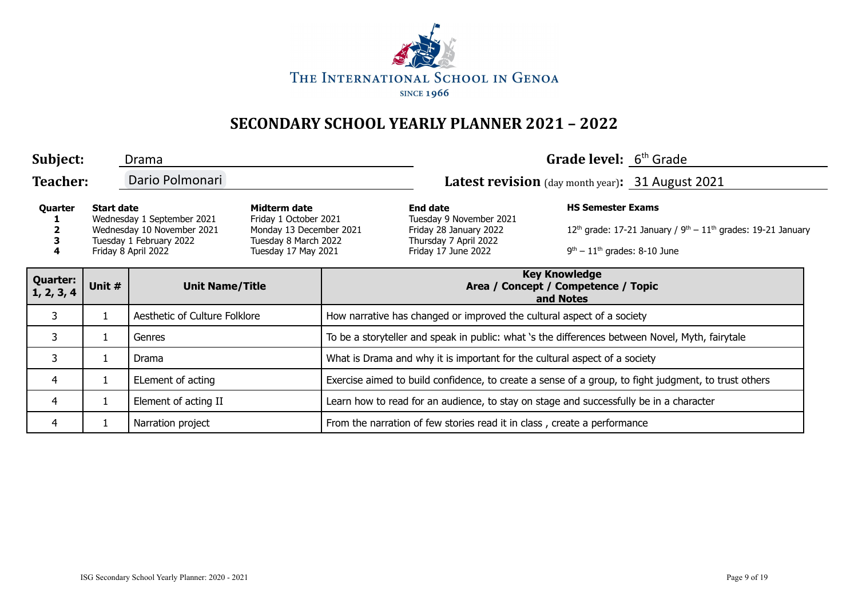

| Subject:                                                                            |        | Drama                                                    |                                                                                                                 |                                                                                                      |                                                                                                                                                                                    | Grade level: 6 <sup>th</sup> Grade |                                                                            |  |
|-------------------------------------------------------------------------------------|--------|----------------------------------------------------------|-----------------------------------------------------------------------------------------------------------------|------------------------------------------------------------------------------------------------------|------------------------------------------------------------------------------------------------------------------------------------------------------------------------------------|------------------------------------|----------------------------------------------------------------------------|--|
| <b>Teacher:</b>                                                                     |        | Dario Polmonari                                          |                                                                                                                 |                                                                                                      | Latest revision (day month year): 31 August 2021                                                                                                                                   |                                    |                                                                            |  |
| Quarter<br><b>Start date</b><br>Tuesday 1 February 2022<br>Friday 8 April 2022<br>4 |        | Wednesday 1 September 2021<br>Wednesday 10 November 2021 | Midterm date<br>Friday 1 October 2021<br>Monday 13 December 2021<br>Tuesday 8 March 2022<br>Tuesday 17 May 2021 |                                                                                                      | <b>HS Semester Exams</b><br><b>End date</b><br>Tuesday 9 November 2021<br>Friday 28 January 2022<br>Thursday 7 April 2022<br>$9th - 11th$ grades: 8-10 June<br>Friday 17 June 2022 |                                    | 12 <sup>th</sup> grade: 17-21 January / $9th - 11th$ grades: 19-21 January |  |
| <b>Quarter:</b><br>1, 2, 3, 4                                                       | Unit # | <b>Unit Name/Title</b>                                   |                                                                                                                 | <b>Key Knowledge</b><br>Area / Concept / Competence / Topic<br>and Notes                             |                                                                                                                                                                                    |                                    |                                                                            |  |
| 3                                                                                   |        | Aesthetic of Culture Folklore                            |                                                                                                                 | How narrative has changed or improved the cultural aspect of a society                               |                                                                                                                                                                                    |                                    |                                                                            |  |
| 3                                                                                   |        | Genres                                                   |                                                                                                                 | To be a storyteller and speak in public: what 's the differences between Novel, Myth, fairytale      |                                                                                                                                                                                    |                                    |                                                                            |  |
| 3                                                                                   |        | Drama                                                    |                                                                                                                 | What is Drama and why it is important for the cultural aspect of a society                           |                                                                                                                                                                                    |                                    |                                                                            |  |
| 4                                                                                   |        | ELement of acting                                        |                                                                                                                 | Exercise aimed to build confidence, to create a sense of a group, to fight judgment, to trust others |                                                                                                                                                                                    |                                    |                                                                            |  |
| 4                                                                                   |        | Element of acting II                                     |                                                                                                                 | Learn how to read for an audience, to stay on stage and successfully be in a character               |                                                                                                                                                                                    |                                    |                                                                            |  |
| 4                                                                                   |        | Narration project                                        |                                                                                                                 | From the narration of few stories read it in class, create a performance                             |                                                                                                                                                                                    |                                    |                                                                            |  |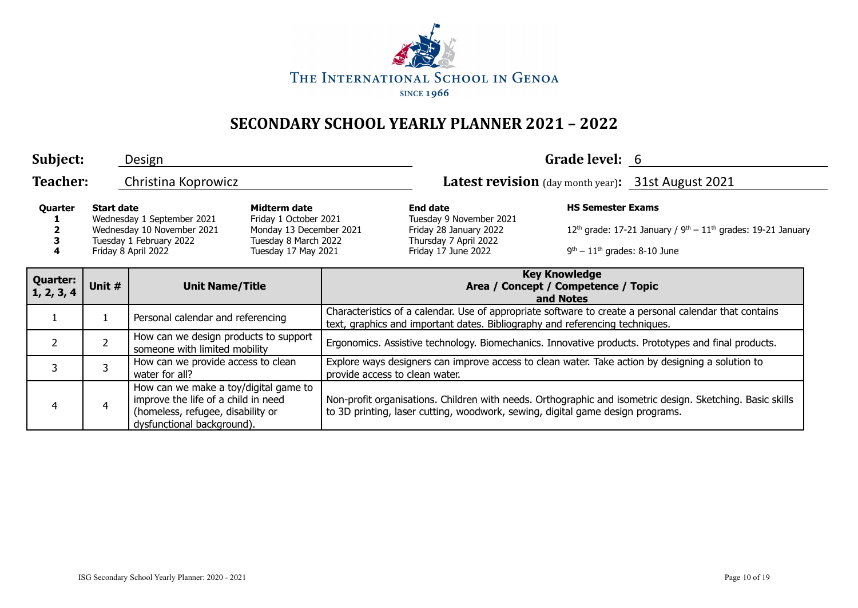

| Subject:                                            |                | Design                                                                                                                                                                                                 |  |                                                                                                                                                                                        |                                                                                                                      | Grade level: 6                                             |                                                                                                           |  |
|-----------------------------------------------------|----------------|--------------------------------------------------------------------------------------------------------------------------------------------------------------------------------------------------------|--|----------------------------------------------------------------------------------------------------------------------------------------------------------------------------------------|----------------------------------------------------------------------------------------------------------------------|------------------------------------------------------------|-----------------------------------------------------------------------------------------------------------|--|
| <b>Teacher:</b>                                     |                | Christina Koprowicz                                                                                                                                                                                    |  |                                                                                                                                                                                        | Latest revision (day month year): 31st August 2021                                                                   |                                                            |                                                                                                           |  |
| Quarter<br><b>Start date</b><br>Friday 8 April 2022 |                | Midterm date<br>Wednesday 1 September 2021<br>Friday 1 October 2021<br>Wednesday 10 November 2021<br>Monday 13 December 2021<br>Tuesday 1 February 2022<br>Tuesday 8 March 2022<br>Tuesday 17 May 2021 |  |                                                                                                                                                                                        | <b>End date</b><br>Tuesday 9 November 2021<br>Friday 28 January 2022<br>Thursday 7 April 2022<br>Friday 17 June 2022 | <b>HS Semester Exams</b><br>$9th - 11th$ grades: 8-10 June | 12 <sup>th</sup> grade: 17-21 January / $9th - 11th$ grades: 19-21 January                                |  |
| <b>Quarter:</b><br>1, 2, 3, 4                       | Unit #         | <b>Unit Name/Title</b>                                                                                                                                                                                 |  | <b>Key Knowledge</b><br>Area / Concept / Competence / Topic<br>and Notes                                                                                                               |                                                                                                                      |                                                            |                                                                                                           |  |
|                                                     |                | Personal calendar and referencing                                                                                                                                                                      |  | Characteristics of a calendar. Use of appropriate software to create a personal calendar that contains<br>text, graphics and important dates. Bibliography and referencing techniques. |                                                                                                                      |                                                            |                                                                                                           |  |
| $\mathbf{2}$                                        | $\overline{2}$ | How can we design products to support<br>someone with limited mobility                                                                                                                                 |  | Ergonomics. Assistive technology. Biomechanics. Innovative products. Prototypes and final products.                                                                                    |                                                                                                                      |                                                            |                                                                                                           |  |
| 3                                                   | 3              | How can we provide access to clean<br>water for all?                                                                                                                                                   |  | Explore ways designers can improve access to clean water. Take action by designing a solution to<br>provide access to clean water.                                                     |                                                                                                                      |                                                            |                                                                                                           |  |
| 4                                                   | $\overline{4}$ | How can we make a toy/digital game to<br>improve the life of a child in need<br>(homeless, refugee, disability or<br>dysfunctional background).                                                        |  |                                                                                                                                                                                        | to 3D printing, laser cutting, woodwork, sewing, digital game design programs.                                       |                                                            | Non-profit organisations. Children with needs. Orthographic and isometric design. Sketching. Basic skills |  |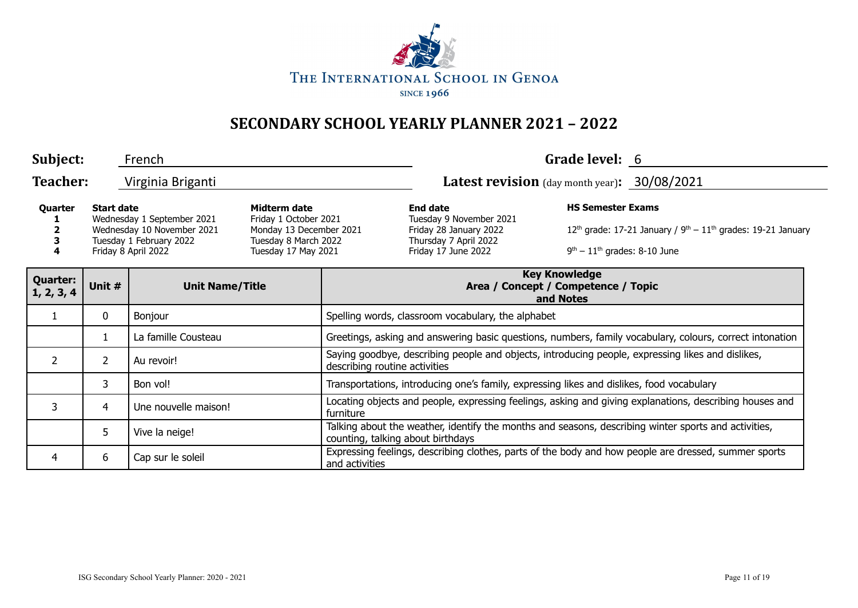

| Subject:                      |                                  | French                                                                                                                                                                                                                                             |  |                                                                                                                                    |                                                                                                                      | Grade level: 6                                             |                                                                                                      |  |
|-------------------------------|----------------------------------|----------------------------------------------------------------------------------------------------------------------------------------------------------------------------------------------------------------------------------------------------|--|------------------------------------------------------------------------------------------------------------------------------------|----------------------------------------------------------------------------------------------------------------------|------------------------------------------------------------|------------------------------------------------------------------------------------------------------|--|
| <b>Teacher:</b>               |                                  | Virginia Briganti                                                                                                                                                                                                                                  |  |                                                                                                                                    | <b>Latest revision</b> (day month year): $30/08/2021$                                                                |                                                            |                                                                                                      |  |
| Quarter<br>3<br>4             |                                  | <b>Start date</b><br>Midterm date<br>Friday 1 October 2021<br>Wednesday 1 September 2021<br>Wednesday 10 November 2021<br>Monday 13 December 2021<br>Tuesday 1 February 2022<br>Tuesday 8 March 2022<br>Friday 8 April 2022<br>Tuesday 17 May 2021 |  |                                                                                                                                    | <b>End date</b><br>Tuesday 9 November 2021<br>Friday 28 January 2022<br>Thursday 7 April 2022<br>Friday 17 June 2022 | <b>HS Semester Exams</b><br>$9th - 11th$ grades: 8-10 June | $12th$ grade: 17-21 January / $9th - 11th$ grades: 19-21 January                                     |  |
| <b>Quarter:</b><br>1, 2, 3, 4 | Unit #<br><b>Unit Name/Title</b> |                                                                                                                                                                                                                                                    |  | <b>Key Knowledge</b><br>Area / Concept / Competence / Topic<br>and Notes                                                           |                                                                                                                      |                                                            |                                                                                                      |  |
| $\mathbf{1}$                  | 0                                | Bonjour                                                                                                                                                                                                                                            |  | Spelling words, classroom vocabulary, the alphabet                                                                                 |                                                                                                                      |                                                            |                                                                                                      |  |
|                               | $\mathbf{1}$                     | La famille Cousteau                                                                                                                                                                                                                                |  | Greetings, asking and answering basic questions, numbers, family vocabulary, colours, correct intonation                           |                                                                                                                      |                                                            |                                                                                                      |  |
| $\overline{2}$                | $\overline{2}$                   | Au revoir!                                                                                                                                                                                                                                         |  | Saying goodbye, describing people and objects, introducing people, expressing likes and dislikes,<br>describing routine activities |                                                                                                                      |                                                            |                                                                                                      |  |
|                               | 3                                | Bon vol!                                                                                                                                                                                                                                           |  | Transportations, introducing one's family, expressing likes and dislikes, food vocabulary                                          |                                                                                                                      |                                                            |                                                                                                      |  |
| 3                             | 4                                | Une nouvelle maison!                                                                                                                                                                                                                               |  | Locating objects and people, expressing feelings, asking and giving explanations, describing houses and<br>furniture               |                                                                                                                      |                                                            |                                                                                                      |  |
|                               | 5                                | Vive la neige!                                                                                                                                                                                                                                     |  | counting, talking about birthdays                                                                                                  | Talking about the weather, identify the months and seasons, describing winter sports and activities,                 |                                                            |                                                                                                      |  |
| 4                             | 6                                | Cap sur le soleil<br>and activities                                                                                                                                                                                                                |  |                                                                                                                                    |                                                                                                                      |                                                            | Expressing feelings, describing clothes, parts of the body and how people are dressed, summer sports |  |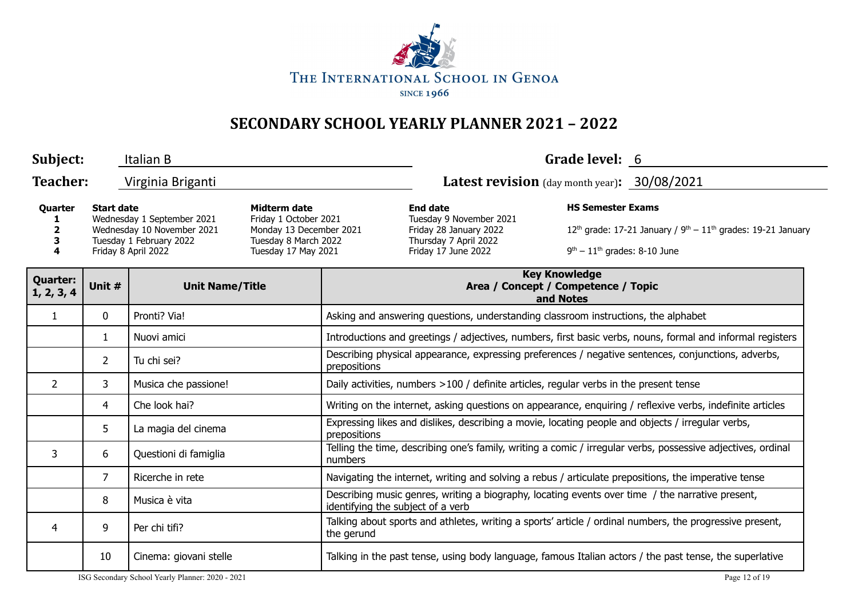

| Subject:                                     | Italian B      |                                                                                                                                                                                                                                                    |  |                                                                                                                                       | Grade level: 6                                                                                                       |                                                                                                                                |  |  |  |
|----------------------------------------------|----------------|----------------------------------------------------------------------------------------------------------------------------------------------------------------------------------------------------------------------------------------------------|--|---------------------------------------------------------------------------------------------------------------------------------------|----------------------------------------------------------------------------------------------------------------------|--------------------------------------------------------------------------------------------------------------------------------|--|--|--|
| <b>Teacher:</b>                              |                | Virginia Briganti                                                                                                                                                                                                                                  |  |                                                                                                                                       | <b>Latest revision</b> (day month year): 30/08/2021                                                                  |                                                                                                                                |  |  |  |
| Quarter<br>$\overline{\mathbf{2}}$<br>3<br>4 |                | <b>Start date</b><br>Midterm date<br>Wednesday 1 September 2021<br>Friday 1 October 2021<br>Wednesday 10 November 2021<br>Monday 13 December 2021<br>Tuesday 1 February 2022<br>Tuesday 8 March 2022<br>Friday 8 April 2022<br>Tuesday 17 May 2021 |  |                                                                                                                                       | <b>End date</b><br>Tuesday 9 November 2021<br>Friday 28 January 2022<br>Thursday 7 April 2022<br>Friday 17 June 2022 | <b>HS Semester Exams</b><br>$12th$ grade: 17-21 January / $9th - 11th$ grades: 19-21 January<br>$9th - 11th$ grades: 8-10 June |  |  |  |
| <b>Quarter:</b><br>1, 2, 3, 4                | Unit #         | <b>Unit Name/Title</b>                                                                                                                                                                                                                             |  | <b>Key Knowledge</b><br>Area / Concept / Competence / Topic<br>and Notes                                                              |                                                                                                                      |                                                                                                                                |  |  |  |
| $\mathbf{1}$                                 | $\mathbf{0}$   | Pronti? Via!                                                                                                                                                                                                                                       |  |                                                                                                                                       | Asking and answering questions, understanding classroom instructions, the alphabet                                   |                                                                                                                                |  |  |  |
|                                              | 1              | Nuovi amici                                                                                                                                                                                                                                        |  |                                                                                                                                       | Introductions and greetings / adjectives, numbers, first basic verbs, nouns, formal and informal registers           |                                                                                                                                |  |  |  |
|                                              | $\overline{2}$ | Tu chi sei?                                                                                                                                                                                                                                        |  | prepositions                                                                                                                          |                                                                                                                      | Describing physical appearance, expressing preferences / negative sentences, conjunctions, adverbs,                            |  |  |  |
| 2                                            | 3              | Musica che passione!                                                                                                                                                                                                                               |  |                                                                                                                                       |                                                                                                                      | Daily activities, numbers >100 / definite articles, regular verbs in the present tense                                         |  |  |  |
|                                              | $\overline{4}$ | Che look hai?                                                                                                                                                                                                                                      |  | Writing on the internet, asking questions on appearance, enquiring / reflexive verbs, indefinite articles                             |                                                                                                                      |                                                                                                                                |  |  |  |
|                                              | 5              | La magia del cinema                                                                                                                                                                                                                                |  | Expressing likes and dislikes, describing a movie, locating people and objects / irregular verbs,<br>prepositions                     |                                                                                                                      |                                                                                                                                |  |  |  |
| 3                                            | 6              | Questioni di famiglia                                                                                                                                                                                                                              |  | Telling the time, describing one's family, writing a comic / irregular verbs, possessive adjectives, ordinal<br>numbers               |                                                                                                                      |                                                                                                                                |  |  |  |
|                                              | $\overline{7}$ | Ricerche in rete                                                                                                                                                                                                                                   |  | Navigating the internet, writing and solving a rebus / articulate prepositions, the imperative tense                                  |                                                                                                                      |                                                                                                                                |  |  |  |
|                                              | 8              | Musica è vita                                                                                                                                                                                                                                      |  | Describing music genres, writing a biography, locating events over time / the narrative present,<br>identifying the subject of a verb |                                                                                                                      |                                                                                                                                |  |  |  |
| 4                                            | 9              | Per chi tifi?                                                                                                                                                                                                                                      |  | the gerund                                                                                                                            |                                                                                                                      | Talking about sports and athletes, writing a sports' article / ordinal numbers, the progressive present,                       |  |  |  |
|                                              | 10             | Cinema: giovani stelle                                                                                                                                                                                                                             |  |                                                                                                                                       |                                                                                                                      | Talking in the past tense, using body language, famous Italian actors / the past tense, the superlative                        |  |  |  |
|                                              |                | ISG Secondary School Yearly Planner: 2020 - 2021                                                                                                                                                                                                   |  |                                                                                                                                       |                                                                                                                      | Page 12 of 19                                                                                                                  |  |  |  |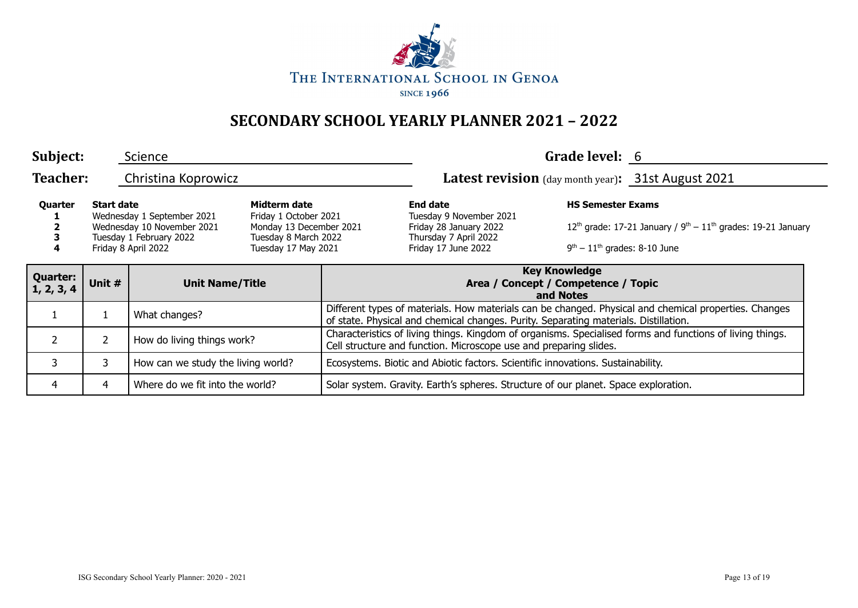

| Subject:                      |                                                                                                                                                                                                                                                    | Science                            |  |                                                                                                                                                                                               |                                                                                                                                | Grade level: 6                                                                      |  |
|-------------------------------|----------------------------------------------------------------------------------------------------------------------------------------------------------------------------------------------------------------------------------------------------|------------------------------------|--|-----------------------------------------------------------------------------------------------------------------------------------------------------------------------------------------------|--------------------------------------------------------------------------------------------------------------------------------|-------------------------------------------------------------------------------------|--|
| <b>Teacher:</b>               |                                                                                                                                                                                                                                                    | Christina Koprowicz                |  |                                                                                                                                                                                               |                                                                                                                                | Latest revision (day month year): 31st August 2021                                  |  |
| Quarter<br>4                  | <b>Start date</b><br>Midterm date<br>Wednesday 1 September 2021<br>Friday 1 October 2021<br>Monday 13 December 2021<br>Wednesday 10 November 2021<br>Tuesday 8 March 2022<br>Tuesday 1 February 2022<br>Friday 8 April 2022<br>Tuesday 17 May 2021 |                                    |  | <b>End date</b><br>Tuesday 9 November 2021<br>Friday 28 January 2022<br>Thursday 7 April 2022<br>Friday 17 June 2022                                                                          | <b>HS Semester Exams</b><br>$12th$ grade: 17-21 January / $9th - 11th$ grades: 19-21 January<br>$9th - 11th$ grades: 8-10 June |                                                                                     |  |
| <b>Quarter:</b><br>1, 2, 3, 4 | Unit #                                                                                                                                                                                                                                             | <b>Unit Name/Title</b>             |  | <b>Key Knowledge</b><br>Area / Concept / Competence / Topic<br>and Notes                                                                                                                      |                                                                                                                                |                                                                                     |  |
|                               |                                                                                                                                                                                                                                                    | What changes?                      |  | Different types of materials. How materials can be changed. Physical and chemical properties. Changes<br>of state. Physical and chemical changes. Purity. Separating materials. Distillation. |                                                                                                                                |                                                                                     |  |
| $\overline{2}$                | $\overline{2}$                                                                                                                                                                                                                                     | How do living things work?         |  | Characteristics of living things. Kingdom of organisms. Specialised forms and functions of living things.<br>Cell structure and function. Microscope use and preparing slides.                |                                                                                                                                |                                                                                     |  |
| 3                             | 3                                                                                                                                                                                                                                                  | How can we study the living world? |  | Ecosystems. Biotic and Abiotic factors. Scientific innovations. Sustainability.                                                                                                               |                                                                                                                                |                                                                                     |  |
| 4                             | 4                                                                                                                                                                                                                                                  | Where do we fit into the world?    |  |                                                                                                                                                                                               |                                                                                                                                | Solar system. Gravity. Earth's spheres. Structure of our planet. Space exploration. |  |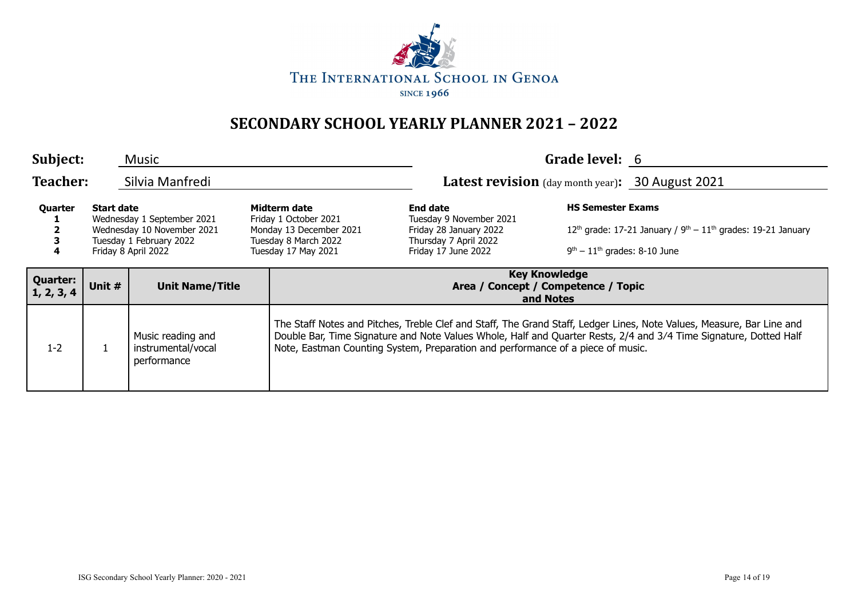

| Subject:                      | <b>Music</b>                                                                                                                    |                                                        |  |                                                                                                                                                                                                                                                                                                                               | Grade level: 6                                                                                                       |                                                                                                                                                         |  |  |
|-------------------------------|---------------------------------------------------------------------------------------------------------------------------------|--------------------------------------------------------|--|-------------------------------------------------------------------------------------------------------------------------------------------------------------------------------------------------------------------------------------------------------------------------------------------------------------------------------|----------------------------------------------------------------------------------------------------------------------|---------------------------------------------------------------------------------------------------------------------------------------------------------|--|--|
| <b>Teacher:</b>               |                                                                                                                                 | Silvia Manfredi                                        |  |                                                                                                                                                                                                                                                                                                                               | <b>Latest revision</b> (day month year): 30 August 2021                                                              |                                                                                                                                                         |  |  |
| Quarter<br>4                  | <b>Start date</b><br>Wednesday 1 September 2021<br>Wednesday 10 November 2021<br>Tuesday 1 February 2022<br>Friday 8 April 2022 |                                                        |  | Midterm date<br>Friday 1 October 2021<br>Monday 13 December 2021<br>Tuesday 8 March 2022<br>Tuesday 17 May 2021                                                                                                                                                                                                               | <b>End date</b><br>Tuesday 9 November 2021<br>Friday 28 January 2022<br>Thursday 7 April 2022<br>Friday 17 June 2022 | <b>HS Semester Exams</b><br>$12^{th}$ grade: 17-21 January / 9 <sup>th</sup> – 11 <sup>th</sup> grades: 19-21 January<br>$9th - 11th$ grades: 8-10 June |  |  |
| <b>Quarter:</b><br>1, 2, 3, 4 | Unit #                                                                                                                          | <b>Unit Name/Title</b>                                 |  | <b>Key Knowledge</b><br>Area / Concept / Competence / Topic<br>and Notes                                                                                                                                                                                                                                                      |                                                                                                                      |                                                                                                                                                         |  |  |
| $1 - 2$                       |                                                                                                                                 | Music reading and<br>instrumental/vocal<br>performance |  | The Staff Notes and Pitches, Treble Clef and Staff, The Grand Staff, Ledger Lines, Note Values, Measure, Bar Line and<br>Double Bar, Time Signature and Note Values Whole, Half and Quarter Rests, 2/4 and 3/4 Time Signature, Dotted Half<br>Note, Eastman Counting System, Preparation and performance of a piece of music. |                                                                                                                      |                                                                                                                                                         |  |  |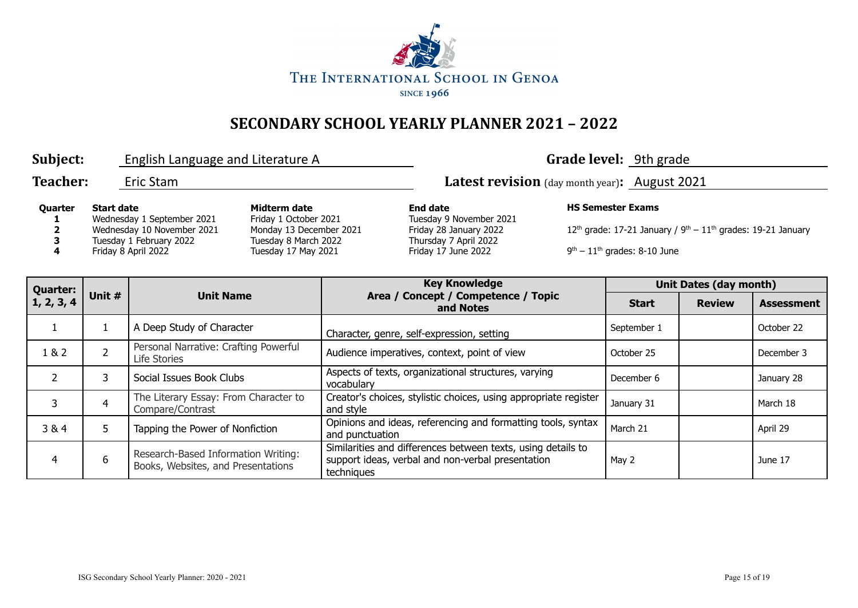

| Subject:            | English Language and Literature A                                                                                               |                                                                                                                 |                                                                                                                      | <b>Grade level:</b> 9th grade                              |                                                                            |
|---------------------|---------------------------------------------------------------------------------------------------------------------------------|-----------------------------------------------------------------------------------------------------------------|----------------------------------------------------------------------------------------------------------------------|------------------------------------------------------------|----------------------------------------------------------------------------|
| <b>Teacher:</b>     | Eric Stam                                                                                                                       |                                                                                                                 | <b>Latest revision</b> (day month year): August 2021                                                                 |                                                            |                                                                            |
| <b>Quarter</b><br>4 | <b>Start date</b><br>Wednesday 1 September 2021<br>Wednesday 10 November 2021<br>Tuesday 1 February 2022<br>Friday 8 April 2022 | Midterm date<br>Friday 1 October 2021<br>Monday 13 December 2021<br>Tuesday 8 March 2022<br>Tuesday 17 May 2021 | <b>End date</b><br>Tuesday 9 November 2021<br>Friday 28 January 2022<br>Thursday 7 April 2022<br>Friday 17 June 2022 | <b>HS Semester Exams</b><br>$9th - 11th$ grades: 8-10 June | 12 <sup>th</sup> grade: 17-21 January / $9th - 11th$ grades: 19-21 January |

| <b>Quarter:</b>      |   |                                                                           | <b>Key Knowledge</b>                                                                                                            | Unit Dates (day month) |               |                   |
|----------------------|---|---------------------------------------------------------------------------|---------------------------------------------------------------------------------------------------------------------------------|------------------------|---------------|-------------------|
| Unit #<br>1, 2, 3, 4 |   | <b>Unit Name</b>                                                          | Area / Concept / Competence / Topic<br>and Notes                                                                                | <b>Start</b>           | <b>Review</b> | <b>Assessment</b> |
|                      |   | A Deep Study of Character                                                 | Character, genre, self-expression, setting                                                                                      | September 1            |               | October 22        |
| 1&2                  |   | Personal Narrative: Crafting Powerful<br>Life Stories                     | Audience imperatives, context, point of view                                                                                    | October 25             |               | December 3        |
|                      | 3 | Social Issues Book Clubs                                                  | Aspects of texts, organizational structures, varying<br>vocabulary                                                              | December 6             |               | January 28        |
|                      | 4 | The Literary Essay: From Character to<br>Compare/Contrast                 | Creator's choices, stylistic choices, using appropriate register<br>and style                                                   | January 31             |               | March 18          |
| 3&4                  | 5 | Tapping the Power of Nonfiction                                           | Opinions and ideas, referencing and formatting tools, syntax<br>and punctuation                                                 | March 21               |               | April 29          |
| 4                    | 6 | Research-Based Information Writing:<br>Books, Websites, and Presentations | Similarities and differences between texts, using details to<br>support ideas, verbal and non-verbal presentation<br>techniques | May 2                  |               | June 17           |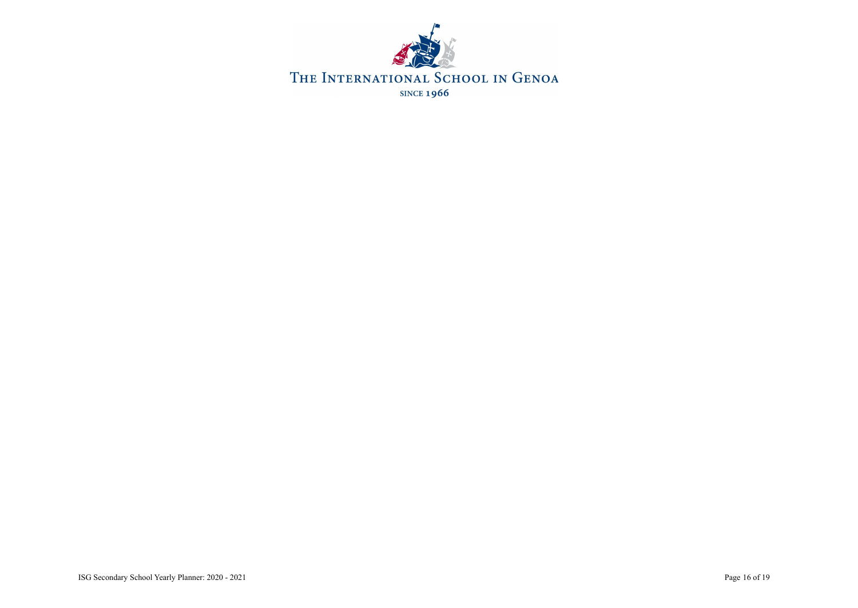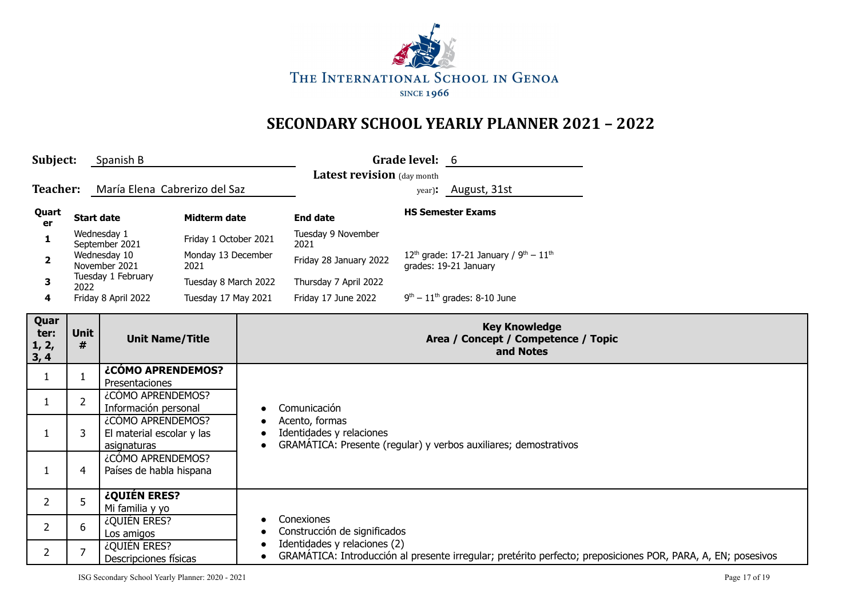

| Subject:                      |                                            | Spanish B                                                     |                            |                                                                                                                                              |                                            | Grade level: 6                                                                      |  |  |  |
|-------------------------------|--------------------------------------------|---------------------------------------------------------------|----------------------------|----------------------------------------------------------------------------------------------------------------------------------------------|--------------------------------------------|-------------------------------------------------------------------------------------|--|--|--|
| <b>Teacher:</b>               |                                            | María Elena Cabrerizo del Saz                                 |                            |                                                                                                                                              | <b>Latest revision</b> (day month)         | year): August, 31st                                                                 |  |  |  |
| Quart<br>er                   |                                            | <b>Midterm date</b><br><b>Start date</b>                      |                            |                                                                                                                                              | <b>End date</b>                            | <b>HS Semester Exams</b>                                                            |  |  |  |
| 1                             |                                            | Wednesday 1<br>September 2021                                 | Friday 1 October 2021      |                                                                                                                                              | Tuesday 9 November<br>2021                 |                                                                                     |  |  |  |
| $\mathbf{2}$                  |                                            | Wednesday 10<br>November 2021                                 | Monday 13 December<br>2021 |                                                                                                                                              | Friday 28 January 2022                     | 12 <sup>th</sup> grade: 17-21 January / $9^{th} - 11^{th}$<br>grades: 19-21 January |  |  |  |
| 3                             | 2022                                       | Tuesday 1 February                                            | Tuesday 8 March 2022       |                                                                                                                                              | Thursday 7 April 2022                      |                                                                                     |  |  |  |
| 4                             |                                            | Friday 8 April 2022<br>Tuesday 17 May 2021                    |                            |                                                                                                                                              | Friday 17 June 2022                        | $9th - 11th$ grades: 8-10 June                                                      |  |  |  |
| Quar<br>ter:<br>1, 2,<br>3, 4 | <b>Unit</b><br>#                           | <b>Unit Name/Title</b>                                        |                            |                                                                                                                                              |                                            | <b>Key Knowledge</b><br>Area / Concept / Competence / Topic<br>and Notes            |  |  |  |
| 1                             | $\mathbf{1}$                               | ¿CÓMO APRENDEMOS?<br>Presentaciones                           |                            |                                                                                                                                              |                                            |                                                                                     |  |  |  |
| $\mathbf{1}$                  | $\overline{2}$                             | ¿CÓMO APRENDEMOS?<br>Información personal                     |                            |                                                                                                                                              | Comunicación                               |                                                                                     |  |  |  |
| 1                             | 3                                          | ¿CÓMO APRENDEMOS?<br>El material escolar y las<br>asignaturas |                            |                                                                                                                                              | Acento, formas<br>Identidades y relaciones | GRAMÁTICA: Presente (regular) y verbos auxiliares; demostrativos                    |  |  |  |
| 1                             | 4                                          | ¿CÓMO APRENDEMOS?<br>Países de habla hispana                  |                            |                                                                                                                                              |                                            |                                                                                     |  |  |  |
| 2                             | 5                                          | ¿QUIÉN ERES?<br>Mi familia y yo                               |                            |                                                                                                                                              |                                            |                                                                                     |  |  |  |
| $\overline{2}$                | 6                                          | ¿QUIÉN ERES?<br>Los amigos                                    |                            | Conexiones<br>Construcción de significados                                                                                                   |                                            |                                                                                     |  |  |  |
| $\overline{2}$                | ¿QUIÉN ERES?<br>7<br>Descripciones físicas |                                                               |                            | Identidades y relaciones (2)<br>GRAMÁTICA: Introducción al presente irregular; pretérito perfecto; preposiciones POR, PARA, A, EN; posesivos |                                            |                                                                                     |  |  |  |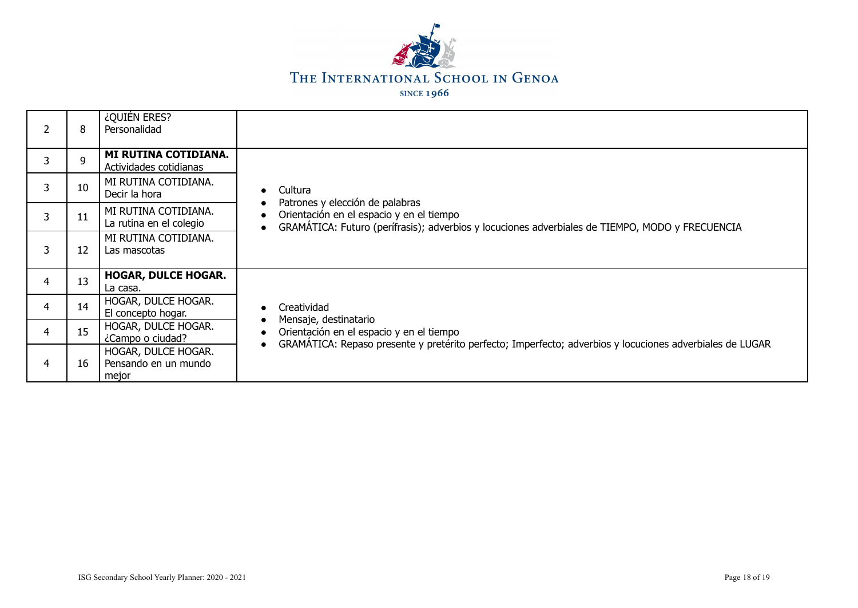

|   | 8  | ¿QUIÉN ERES?<br>Personalidad                          |                                                                                                                                                                                |  |  |  |  |  |
|---|----|-------------------------------------------------------|--------------------------------------------------------------------------------------------------------------------------------------------------------------------------------|--|--|--|--|--|
|   | q  | <b>MI RUTINA COTIDIANA.</b><br>Actividades cotidianas |                                                                                                                                                                                |  |  |  |  |  |
| 3 | 10 | MI RUTINA COTIDIANA.<br>Decir la hora                 | Cultura                                                                                                                                                                        |  |  |  |  |  |
| 3 | 11 | MI RUTINA COTIDIANA.<br>La rutina en el colegio       | Patrones y elección de palabras<br>Orientación en el espacio y en el tiempo<br>GRAMÁTICA: Futuro (perífrasis); adverbios y locuciones adverbiales de TIEMPO, MODO y FRECUENCIA |  |  |  |  |  |
| 3 | 12 | MI RUTINA COTIDIANA.<br>Las mascotas                  |                                                                                                                                                                                |  |  |  |  |  |
|   | 13 | <b>HOGAR, DULCE HOGAR.</b><br>La casa.                |                                                                                                                                                                                |  |  |  |  |  |
| 4 | 14 | HOGAR, DULCE HOGAR.<br>El concepto hogar.             | Creatividad                                                                                                                                                                    |  |  |  |  |  |
| 4 | 15 | HOGAR, DULCE HOGAR.<br>¿Campo o ciudad?               | Mensaje, destinatario<br>Orientación en el espacio y en el tiempo<br>GRAMÁTICA: Repaso presente y pretérito perfecto; Imperfecto; adverbios y locuciones adverbiales de LUGAR  |  |  |  |  |  |
| 4 | 16 | HOGAR, DULCE HOGAR.<br>Pensando en un mundo<br>mejor  |                                                                                                                                                                                |  |  |  |  |  |